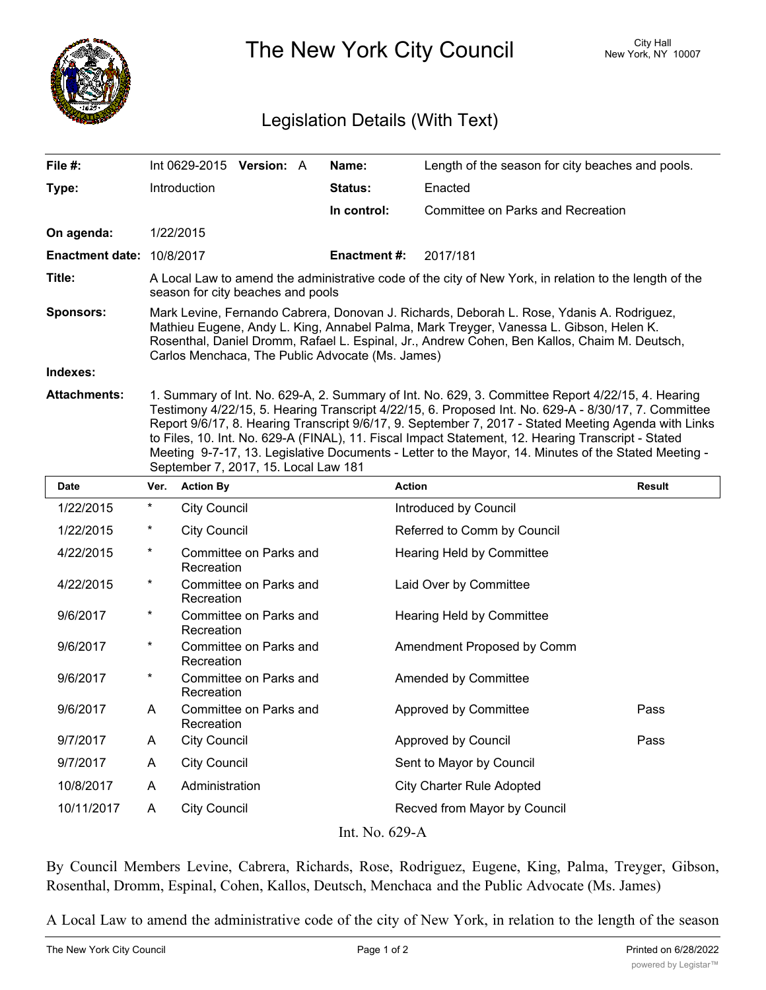

The New York City Council New York, NY 10007

## Legislation Details (With Text)

| File #:                   | Int 0629-2015                                                                                                                                                                                                                                                                                                                           | <b>Version: A</b> |  | Name:               | Length of the season for city beaches and pools. |  |
|---------------------------|-----------------------------------------------------------------------------------------------------------------------------------------------------------------------------------------------------------------------------------------------------------------------------------------------------------------------------------------|-------------------|--|---------------------|--------------------------------------------------|--|
| Type:                     | Introduction                                                                                                                                                                                                                                                                                                                            |                   |  | <b>Status:</b>      | Enacted                                          |  |
|                           |                                                                                                                                                                                                                                                                                                                                         |                   |  | In control:         | Committee on Parks and Recreation                |  |
| On agenda:                | 1/22/2015                                                                                                                                                                                                                                                                                                                               |                   |  |                     |                                                  |  |
| Enactment date: 10/8/2017 |                                                                                                                                                                                                                                                                                                                                         |                   |  | <b>Enactment #:</b> | 2017/181                                         |  |
| Title:                    | A Local Law to amend the administrative code of the city of New York, in relation to the length of the<br>season for city beaches and pools                                                                                                                                                                                             |                   |  |                     |                                                  |  |
| <b>Sponsors:</b>          | Mark Levine, Fernando Cabrera, Donovan J. Richards, Deborah L. Rose, Ydanis A. Rodriguez,<br>Mathieu Eugene, Andy L. King, Annabel Palma, Mark Treyger, Vanessa L. Gibson, Helen K.<br>Rosenthal, Daniel Dromm, Rafael L. Espinal, Jr., Andrew Cohen, Ben Kallos, Chaim M. Deutsch,<br>Carlos Menchaca, The Public Advocate (Ms. James) |                   |  |                     |                                                  |  |
| Indexes:                  |                                                                                                                                                                                                                                                                                                                                         |                   |  |                     |                                                  |  |
| <b>Attachments:</b>       | 1. Summary of Int. No. 629-A, 2. Summary of Int. No. 629, 3. Committee Report 4/22/15, 4. Hearing<br>Testimony 4/22/15, 5. Hearing Transcript 4/22/15, 6. Proposed Int. No. 629-A - 8/30/17, 7. Committee                                                                                                                               |                   |  |                     |                                                  |  |

Testimony 4/22/15, 5. Hearing Transcript 4/22/15, 6. Proposed Int. No. 629-A - 8/30/17, 7. Committee Report 9/6/17, 8. Hearing Transcript 9/6/17, 9. September 7, 2017 - Stated Meeting Agenda with Links to Files, 10. Int. No. 629-A (FINAL), 11. Fiscal Impact Statement, 12. Hearing Transcript - Stated Meeting 9-7-17, 13. Legislative Documents - Letter to the Mayor, 14. Minutes of the Stated Meeting - September 7, 2017, 15. Local Law 181

| <b>Date</b>    | Ver.     | <b>Action By</b>                     | <b>Action</b>                    | <b>Result</b> |  |  |  |
|----------------|----------|--------------------------------------|----------------------------------|---------------|--|--|--|
| 1/22/2015      | $\ast$   | <b>City Council</b>                  | Introduced by Council            |               |  |  |  |
| 1/22/2015      | $^\ast$  | <b>City Council</b>                  | Referred to Comm by Council      |               |  |  |  |
| 4/22/2015      | $\star$  | Committee on Parks and<br>Recreation | Hearing Held by Committee        |               |  |  |  |
| 4/22/2015      | $^\ast$  | Committee on Parks and<br>Recreation | Laid Over by Committee           |               |  |  |  |
| 9/6/2017       | $\ast$   | Committee on Parks and<br>Recreation | <b>Hearing Held by Committee</b> |               |  |  |  |
| 9/6/2017       | $^\star$ | Committee on Parks and<br>Recreation | Amendment Proposed by Comm       |               |  |  |  |
| 9/6/2017       | $\ast$   | Committee on Parks and<br>Recreation | Amended by Committee             |               |  |  |  |
| 9/6/2017       | A        | Committee on Parks and<br>Recreation | Approved by Committee            | Pass          |  |  |  |
| 9/7/2017       | A        | <b>City Council</b>                  | Approved by Council              | Pass          |  |  |  |
| 9/7/2017       | A        | <b>City Council</b>                  | Sent to Mayor by Council         |               |  |  |  |
| 10/8/2017      | A        | Administration                       | <b>City Charter Rule Adopted</b> |               |  |  |  |
| 10/11/2017     | A        | <b>City Council</b>                  | Recved from Mayor by Council     |               |  |  |  |
| Int. No. 629-A |          |                                      |                                  |               |  |  |  |

By Council Members Levine, Cabrera, Richards, Rose, Rodriguez, Eugene, King, Palma, Treyger, Gibson, Rosenthal, Dromm, Espinal, Cohen, Kallos, Deutsch, Menchaca and the Public Advocate (Ms. James)

A Local Law to amend the administrative code of the city of New York, in relation to the length of the season